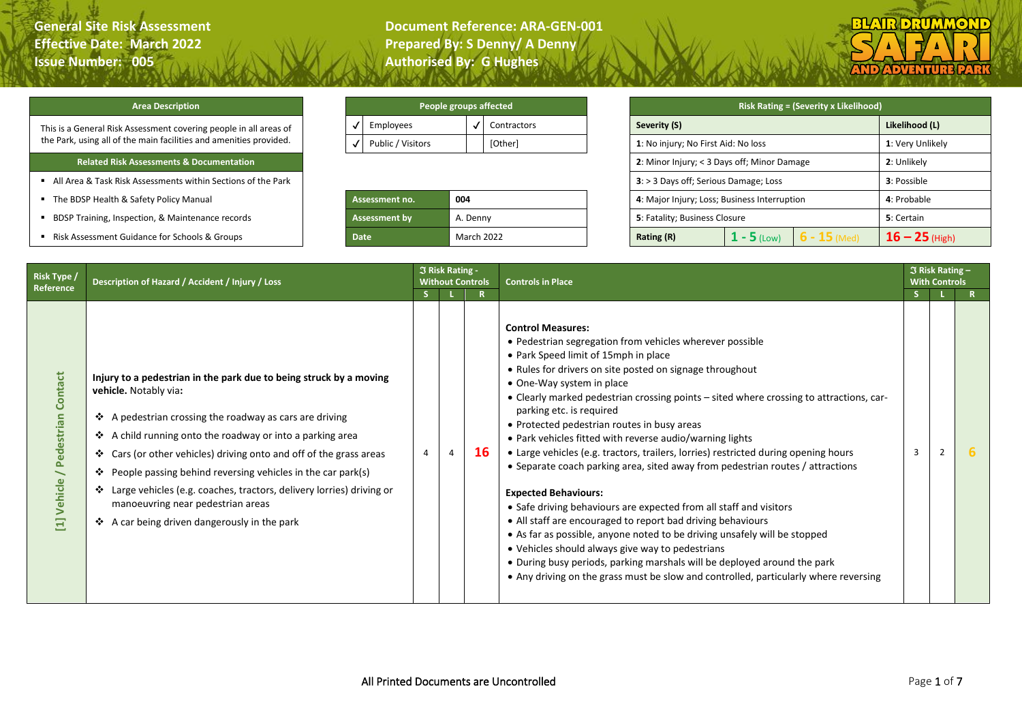**General Site Risk Assessment Document Reference: ARA-GEN-001 Effective Date: March 2022 Prepared By: S Denny/ A Denny** 



## **Area Description**

This is a General Risk Assessment covering people in all areas of the Park, using all of the main facilities and amenities provided.

## **Related Risk Assessments & Documentation**

- All Area & Task Risk Assessments within Sections of the Park
- **F** The BDSP Health & Safety Policy Manual
- **E** BDSP Training, Inspection, & Maintenance records
- Risk Assessment Guidance for Schools & Groups

| People groups affected |             |
|------------------------|-------------|
| Employees              | Contractors |
| Public / Visitors      | [Other]     |
|                        |             |

| Assessment no.       | 004               |  |  |  |  |  |  |
|----------------------|-------------------|--|--|--|--|--|--|
| <b>Assessment by</b> | A. Denny          |  |  |  |  |  |  |
| Date                 | <b>March 2022</b> |  |  |  |  |  |  |

|                           |     |                                             | People groups affected                |                                              |               | <b>Risk Rating = (Severity x Likelihood)</b> |                  |
|---------------------------|-----|---------------------------------------------|---------------------------------------|----------------------------------------------|---------------|----------------------------------------------|------------------|
| Employees                 |     | √                                           | Contractors                           | Severity (S)                                 |               |                                              | Likelihood (L)   |
| Public / Visitors         |     |                                             | [Other]                               | 1: No injury; No First Aid: No loss          |               |                                              | 1: Very Unlikely |
|                           |     | 2: Minor Injury; < 3 Days off; Minor Damage | 2: Unlikely                           |                                              |               |                                              |                  |
|                           |     |                                             | 3: > 3 Days off; Serious Damage; Loss |                                              | 3: Possible   |                                              |                  |
| <b>Assessment no.</b>     | 004 |                                             |                                       | 4: Major Injury; Loss; Business Interruption |               |                                              | 4: Probable      |
| Assessment by<br>A. Denny |     |                                             | <b>5</b> : Fatality; Business Closure |                                              |               | 5: Certain                                   |                  |
| <b>Date</b>               |     |                                             | March 2022                            | Rating (R)                                   | $1 - 5$ (Low) | $6 - 15$ (Med)                               | $16 - 25$ (High) |

| Risk Type /                                  | Description of Hazard / Accident / Injury / Loss                                                                                                                                                                                                                                                                                                                                                                                                                                                                          |                | <b>3 Risk Rating -</b> | <b>Without Controls</b> | <b>Controls in Place</b>                                                                                                                                                                                                                                                                                                                                                                                                                                                                                                                                                                                                                                                                                                                                                                                                                                                                                                                                                                                                                                                                                  |   | $\Im$ Risk Rating -<br><b>With Controls</b> |  |
|----------------------------------------------|---------------------------------------------------------------------------------------------------------------------------------------------------------------------------------------------------------------------------------------------------------------------------------------------------------------------------------------------------------------------------------------------------------------------------------------------------------------------------------------------------------------------------|----------------|------------------------|-------------------------|-----------------------------------------------------------------------------------------------------------------------------------------------------------------------------------------------------------------------------------------------------------------------------------------------------------------------------------------------------------------------------------------------------------------------------------------------------------------------------------------------------------------------------------------------------------------------------------------------------------------------------------------------------------------------------------------------------------------------------------------------------------------------------------------------------------------------------------------------------------------------------------------------------------------------------------------------------------------------------------------------------------------------------------------------------------------------------------------------------------|---|---------------------------------------------|--|
| Reference                                    |                                                                                                                                                                                                                                                                                                                                                                                                                                                                                                                           | S.             |                        | $\mathbf{R}$            |                                                                                                                                                                                                                                                                                                                                                                                                                                                                                                                                                                                                                                                                                                                                                                                                                                                                                                                                                                                                                                                                                                           |   |                                             |  |
| <b>Contact</b><br>Pedestrian<br>Vehicle<br>Ξ | Injury to a pedestrian in the park due to being struck by a moving<br>vehicle. Notably via:<br>❖ A pedestrian crossing the roadway as cars are driving<br>❖ A child running onto the roadway or into a parking area<br>❖ Cars (or other vehicles) driving onto and off of the grass areas<br>❖ People passing behind reversing vehicles in the car park(s)<br>❖ Large vehicles (e.g. coaches, tractors, delivery lorries) driving or<br>manoeuvring near pedestrian areas<br>❖ A car being driven dangerously in the park | $\overline{4}$ | $\overline{4}$         | <b>16</b>               | <b>Control Measures:</b><br>• Pedestrian segregation from vehicles wherever possible<br>• Park Speed limit of 15mph in place<br>• Rules for drivers on site posted on signage throughout<br>• One-Way system in place<br>• Clearly marked pedestrian crossing points - sited where crossing to attractions, car-<br>parking etc. is required<br>• Protected pedestrian routes in busy areas<br>• Park vehicles fitted with reverse audio/warning lights<br>• Large vehicles (e.g. tractors, trailers, lorries) restricted during opening hours<br>• Separate coach parking area, sited away from pedestrian routes / attractions<br><b>Expected Behaviours:</b><br>• Safe driving behaviours are expected from all staff and visitors<br>• All staff are encouraged to report bad driving behaviours<br>• As far as possible, anyone noted to be driving unsafely will be stopped<br>• Vehicles should always give way to pedestrians<br>• During busy periods, parking marshals will be deployed around the park<br>• Any driving on the grass must be slow and controlled, particularly where reversing | 3 |                                             |  |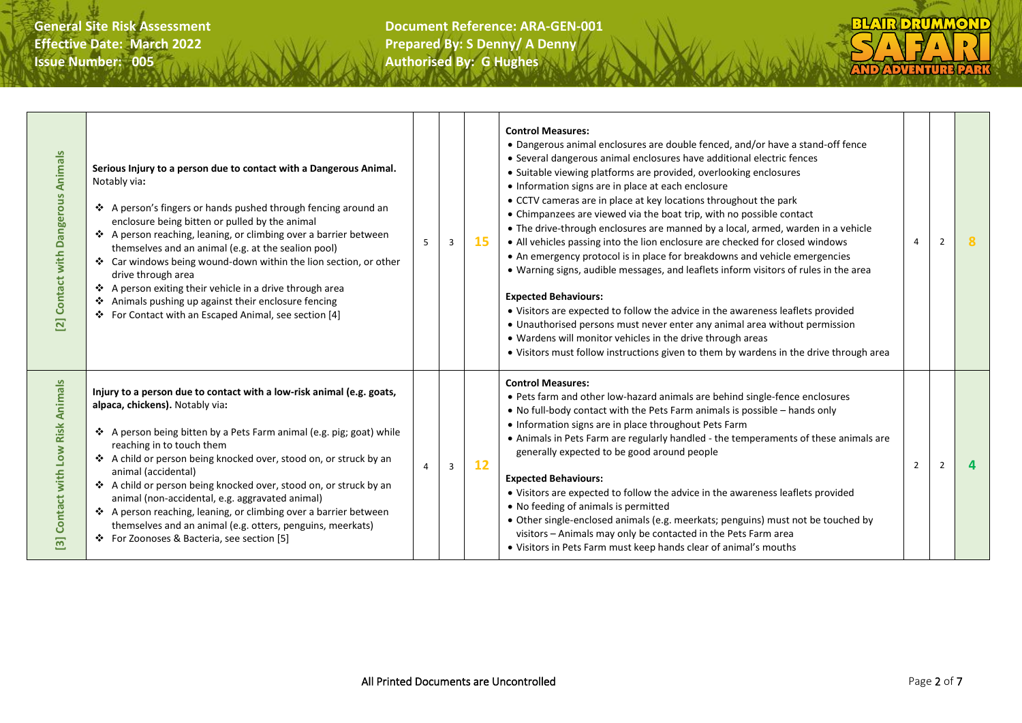| Animals<br>Contact with Dangerous<br>$\overline{\mathbf{z}}$             | Serious Injury to a person due to contact with a Dangerous Animal.<br>Notably via:<br>❖ A person's fingers or hands pushed through fencing around an<br>enclosure being bitten or pulled by the animal<br>❖ A person reaching, leaning, or climbing over a barrier between<br>themselves and an animal (e.g. at the sealion pool)<br>❖ Car windows being wound-down within the lion section, or other<br>drive through area<br>❖ A person exiting their vehicle in a drive through area<br>❖ Animals pushing up against their enclosure fencing<br>❖ For Contact with an Escaped Animal, see section [4]      | 5              | $\overline{3}$ | 15 | <b>Control Measures:</b><br>• Dangerous animal enclosures are double fenced, and/or have a stand-off fence<br>• Several dangerous animal enclosures have additional electric fences<br>• Suitable viewing platforms are provided, overlooking enclosures<br>• Information signs are in place at each enclosure<br>• CCTV cameras are in place at key locations throughout the park<br>• Chimpanzees are viewed via the boat trip, with no possible contact<br>• The drive-through enclosures are manned by a local, armed, warden in a vehicle<br>• All vehicles passing into the lion enclosure are checked for closed windows<br>• An emergency protocol is in place for breakdowns and vehicle emergencies<br>• Warning signs, audible messages, and leaflets inform visitors of rules in the area<br><b>Expected Behaviours:</b><br>• Visitors are expected to follow the advice in the awareness leaflets provided<br>• Unauthorised persons must never enter any animal area without permission<br>• Wardens will monitor vehicles in the drive through areas<br>• Visitors must follow instructions given to them by wardens in the drive through area | $\overline{a}$ | 2              |  |
|--------------------------------------------------------------------------|---------------------------------------------------------------------------------------------------------------------------------------------------------------------------------------------------------------------------------------------------------------------------------------------------------------------------------------------------------------------------------------------------------------------------------------------------------------------------------------------------------------------------------------------------------------------------------------------------------------|----------------|----------------|----|---------------------------------------------------------------------------------------------------------------------------------------------------------------------------------------------------------------------------------------------------------------------------------------------------------------------------------------------------------------------------------------------------------------------------------------------------------------------------------------------------------------------------------------------------------------------------------------------------------------------------------------------------------------------------------------------------------------------------------------------------------------------------------------------------------------------------------------------------------------------------------------------------------------------------------------------------------------------------------------------------------------------------------------------------------------------------------------------------------------------------------------------------------------|----------------|----------------|--|
| Low Risk Animals<br>Contact with<br>$\overline{\overline{\overline{m}}}$ | Injury to a person due to contact with a low-risk animal (e.g. goats,<br>alpaca, chickens). Notably via:<br>A person being bitten by a Pets Farm animal (e.g. pig; goat) while<br>reaching in to touch them<br>❖ A child or person being knocked over, stood on, or struck by an<br>animal (accidental)<br>A child or person being knocked over, stood on, or struck by an<br>animal (non-accidental, e.g. aggravated animal)<br>❖ A person reaching, leaning, or climbing over a barrier between<br>themselves and an animal (e.g. otters, penguins, meerkats)<br>❖ For Zoonoses & Bacteria, see section [5] | $\overline{a}$ | $\overline{3}$ | 12 | <b>Control Measures:</b><br>• Pets farm and other low-hazard animals are behind single-fence enclosures<br>. No full-body contact with the Pets Farm animals is possible - hands only<br>• Information signs are in place throughout Pets Farm<br>• Animals in Pets Farm are regularly handled - the temperaments of these animals are<br>generally expected to be good around people<br><b>Expected Behaviours:</b><br>• Visitors are expected to follow the advice in the awareness leaflets provided<br>• No feeding of animals is permitted<br>• Other single-enclosed animals (e.g. meerkats; penguins) must not be touched by<br>visitors - Animals may only be contacted in the Pets Farm area<br>• Visitors in Pets Farm must keep hands clear of animal's mouths                                                                                                                                                                                                                                                                                                                                                                                     | $\overline{2}$ | $\overline{2}$ |  |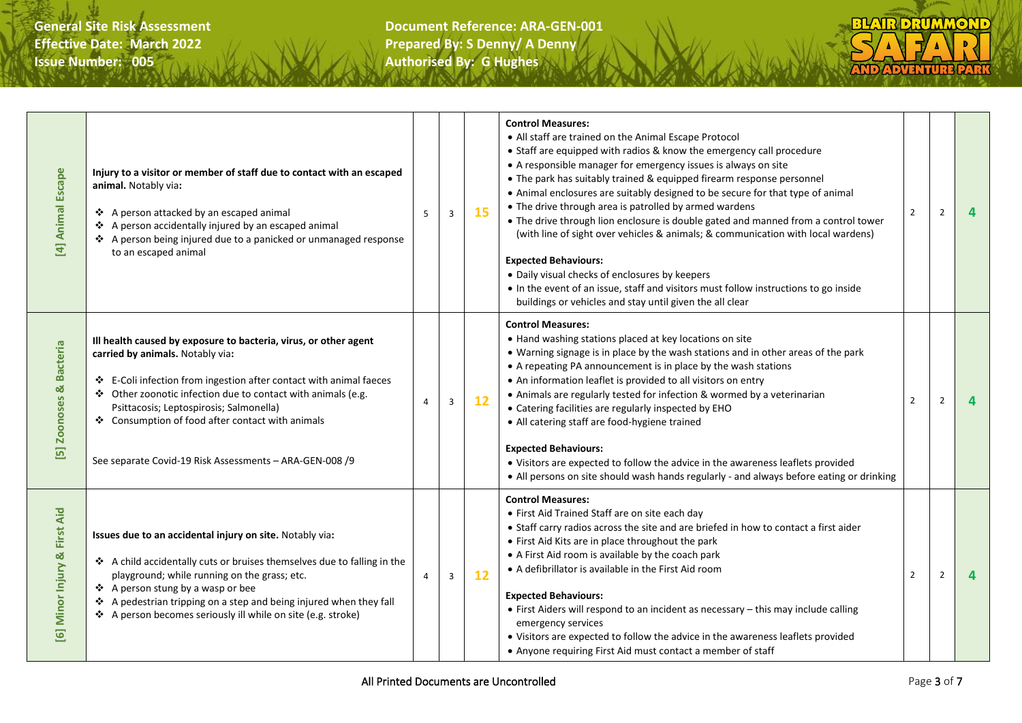

| <b>Animal Escape</b><br>$\overline{E}$                    | Injury to a visitor or member of staff due to contact with an escaped<br>animal. Notably via:<br>❖ A person attacked by an escaped animal<br>❖ A person accidentally injured by an escaped animal<br>❖ A person being injured due to a panicked or unmanaged response<br>to an escaped animal                                                                                                        | 5              | $\overline{3}$ | 15 | <b>Control Measures:</b><br>• All staff are trained on the Animal Escape Protocol<br>• Staff are equipped with radios & know the emergency call procedure<br>• A responsible manager for emergency issues is always on site<br>• The park has suitably trained & equipped firearm response personnel<br>• Animal enclosures are suitably designed to be secure for that type of animal<br>• The drive through area is patrolled by armed wardens<br>• The drive through lion enclosure is double gated and manned from a control tower<br>(with line of sight over vehicles & animals; & communication with local wardens)<br><b>Expected Behaviours:</b><br>• Daily visual checks of enclosures by keepers<br>• In the event of an issue, staff and visitors must follow instructions to go inside<br>buildings or vehicles and stay until given the all clear | $\overline{2}$ | $\overline{2}$ | 4 |
|-----------------------------------------------------------|------------------------------------------------------------------------------------------------------------------------------------------------------------------------------------------------------------------------------------------------------------------------------------------------------------------------------------------------------------------------------------------------------|----------------|----------------|----|-----------------------------------------------------------------------------------------------------------------------------------------------------------------------------------------------------------------------------------------------------------------------------------------------------------------------------------------------------------------------------------------------------------------------------------------------------------------------------------------------------------------------------------------------------------------------------------------------------------------------------------------------------------------------------------------------------------------------------------------------------------------------------------------------------------------------------------------------------------------|----------------|----------------|---|
| <b>Bacteria</b><br>ಡ<br><b>Zoonoses</b><br>$\overline{E}$ | Ill health caused by exposure to bacteria, virus, or other agent<br>carried by animals. Notably via:<br>❖ E-Coli infection from ingestion after contact with animal faeces<br>❖ Other zoonotic infection due to contact with animals (e.g.<br>Psittacosis; Leptospirosis; Salmonella)<br>❖ Consumption of food after contact with animals<br>See separate Covid-19 Risk Assessments - ARA-GEN-008 /9 | 4              | $\overline{3}$ | 12 | <b>Control Measures:</b><br>• Hand washing stations placed at key locations on site<br>• Warning signage is in place by the wash stations and in other areas of the park<br>• A repeating PA announcement is in place by the wash stations<br>• An information leaflet is provided to all visitors on entry<br>• Animals are regularly tested for infection & wormed by a veterinarian<br>• Catering facilities are regularly inspected by EHO<br>• All catering staff are food-hygiene trained<br><b>Expected Behaviours:</b><br>• Visitors are expected to follow the advice in the awareness leaflets provided<br>• All persons on site should wash hands regularly - and always before eating or drinking                                                                                                                                                   | $\overline{2}$ | $\overline{2}$ |   |
| <b>First Aid</b><br>[6] Minor Injury &                    | Issues due to an accidental injury on site. Notably via:<br>❖ A child accidentally cuts or bruises themselves due to falling in the<br>playground; while running on the grass; etc.<br>❖ A person stung by a wasp or bee<br>❖ A pedestrian tripping on a step and being injured when they fall<br>❖ A person becomes seriously ill while on site (e.g. stroke)                                       | $\overline{4}$ | $\overline{3}$ | 12 | <b>Control Measures:</b><br>• First Aid Trained Staff are on site each day<br>• Staff carry radios across the site and are briefed in how to contact a first aider<br>• First Aid Kits are in place throughout the park<br>• A First Aid room is available by the coach park<br>• A defibrillator is available in the First Aid room<br><b>Expected Behaviours:</b><br>• First Aiders will respond to an incident as necessary - this may include calling<br>emergency services<br>• Visitors are expected to follow the advice in the awareness leaflets provided<br>• Anyone requiring First Aid must contact a member of staff                                                                                                                                                                                                                               | $\overline{2}$ | $\overline{2}$ |   |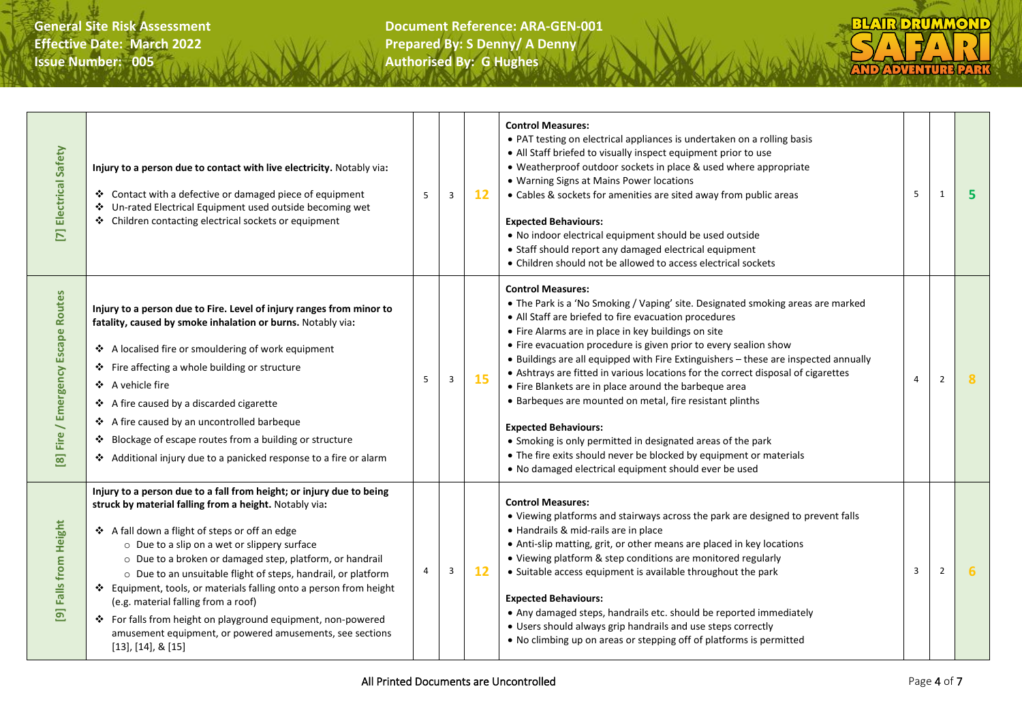

| [7] Electrical Safety                                        | Injury to a person due to contact with live electricity. Notably via:<br>❖ Contact with a defective or damaged piece of equipment<br>❖ Un-rated Electrical Equipment used outside becoming wet<br>❖ Children contacting electrical sockets or equipment                                                                                                                                                                                                                                                                                                                                                                              | 5 | 3                       | 12 | <b>Control Measures:</b><br>• PAT testing on electrical appliances is undertaken on a rolling basis<br>• All Staff briefed to visually inspect equipment prior to use<br>• Weatherproof outdoor sockets in place & used where appropriate<br>• Warning Signs at Mains Power locations<br>• Cables & sockets for amenities are sited away from public areas<br><b>Expected Behaviours:</b><br>. No indoor electrical equipment should be used outside<br>• Staff should report any damaged electrical equipment<br>• Children should not be allowed to access electrical sockets                                                                                                                                                                                                                                               | 5 | 1              | 5 |
|--------------------------------------------------------------|--------------------------------------------------------------------------------------------------------------------------------------------------------------------------------------------------------------------------------------------------------------------------------------------------------------------------------------------------------------------------------------------------------------------------------------------------------------------------------------------------------------------------------------------------------------------------------------------------------------------------------------|---|-------------------------|----|-------------------------------------------------------------------------------------------------------------------------------------------------------------------------------------------------------------------------------------------------------------------------------------------------------------------------------------------------------------------------------------------------------------------------------------------------------------------------------------------------------------------------------------------------------------------------------------------------------------------------------------------------------------------------------------------------------------------------------------------------------------------------------------------------------------------------------|---|----------------|---|
| / Emergency Escape Routes<br>Fire<br>$\overline{\mathbf{g}}$ | Injury to a person due to Fire. Level of injury ranges from minor to<br>fatality, caused by smoke inhalation or burns. Notably via:<br>❖ A localised fire or smouldering of work equipment<br>❖ Fire affecting a whole building or structure<br>❖ A vehicle fire<br>❖ A fire caused by a discarded cigarette<br>❖ A fire caused by an uncontrolled barbeque<br>* Blockage of escape routes from a building or structure<br>Additional injury due to a panicked response to a fire or alarm                                                                                                                                           | 5 | 3                       | 15 | <b>Control Measures:</b><br>• The Park is a 'No Smoking / Vaping' site. Designated smoking areas are marked<br>• All Staff are briefed to fire evacuation procedures<br>• Fire Alarms are in place in key buildings on site<br>• Fire evacuation procedure is given prior to every sealion show<br>• Buildings are all equipped with Fire Extinguishers - these are inspected annually<br>• Ashtrays are fitted in various locations for the correct disposal of cigarettes<br>• Fire Blankets are in place around the barbeque area<br>• Barbeques are mounted on metal, fire resistant plinths<br><b>Expected Behaviours:</b><br>• Smoking is only permitted in designated areas of the park<br>• The fire exits should never be blocked by equipment or materials<br>. No damaged electrical equipment should ever be used | 4 | 2              | 8 |
| 9] Falls from Height                                         | Injury to a person due to a fall from height; or injury due to being<br>struck by material falling from a height. Notably via:<br>❖ A fall down a flight of steps or off an edge<br>o Due to a slip on a wet or slippery surface<br>o Due to a broken or damaged step, platform, or handrail<br>o Due to an unsuitable flight of steps, handrail, or platform<br>❖ Equipment, tools, or materials falling onto a person from height<br>(e.g. material falling from a roof)<br>❖ For falls from height on playground equipment, non-powered<br>amusement equipment, or powered amusements, see sections<br>$[13]$ , $[14]$ , & $[15]$ | 4 | $\overline{\mathbf{3}}$ | 12 | <b>Control Measures:</b><br>• Viewing platforms and stairways across the park are designed to prevent falls<br>• Handrails & mid-rails are in place<br>• Anti-slip matting, grit, or other means are placed in key locations<br>• Viewing platform & step conditions are monitored regularly<br>• Suitable access equipment is available throughout the park<br><b>Expected Behaviours:</b><br>• Any damaged steps, handrails etc. should be reported immediately<br>• Users should always grip handrails and use steps correctly<br>• No climbing up on areas or stepping off of platforms is permitted                                                                                                                                                                                                                      | 3 | $\overline{2}$ | 6 |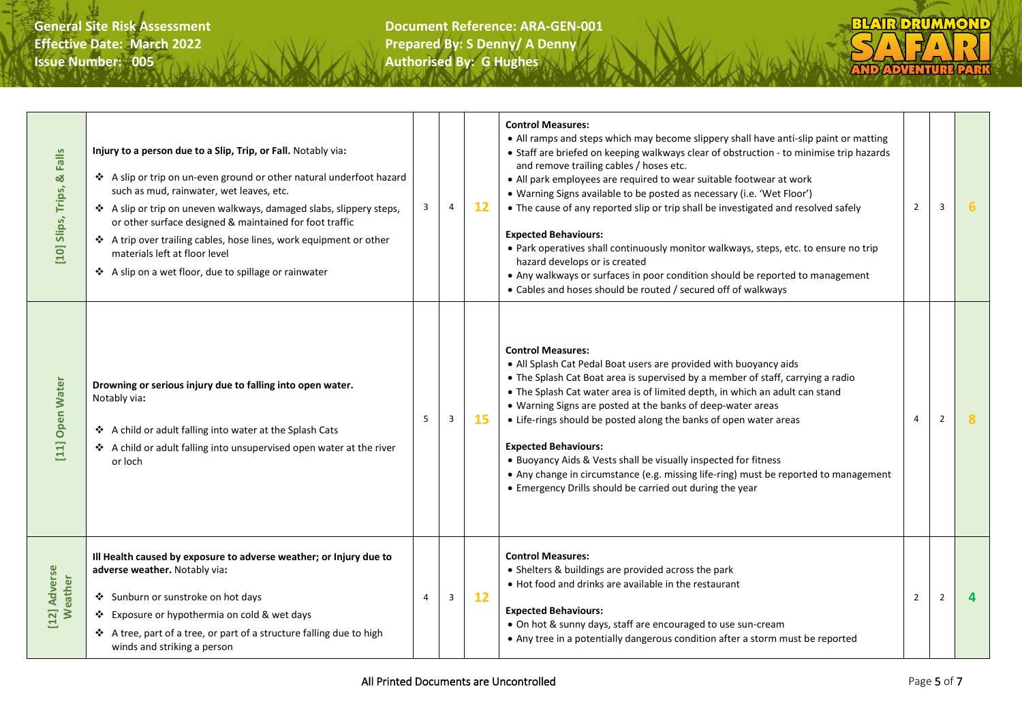| Falls<br>ಡ<br>[10] Slips, Trips, | Injury to a person due to a Slip, Trip, or Fall. Notably via:<br>❖ A slip or trip on un-even ground or other natural underfoot hazard<br>such as mud, rainwater, wet leaves, etc.<br>❖ A slip or trip on uneven walkways, damaged slabs, slippery steps,<br>or other surface designed & maintained for foot traffic<br>❖ A trip over trailing cables, hose lines, work equipment or other<br>materials left at floor level<br>❖ A slip on a wet floor, due to spillage or rainwater | 3 | 4 | 12 | <b>Control Measures:</b><br>• All ramps and steps which may become slippery shall have anti-slip paint or matting<br>• Staff are briefed on keeping walkways clear of obstruction - to minimise trip hazards<br>and remove trailing cables / hoses etc.<br>• All park employees are required to wear suitable footwear at work<br>• Warning Signs available to be posted as necessary (i.e. 'Wet Floor')<br>• The cause of any reported slip or trip shall be investigated and resolved safely<br><b>Expected Behaviours:</b><br>. Park operatives shall continuously monitor walkways, steps, etc. to ensure no trip<br>hazard develops or is created<br>• Any walkways or surfaces in poor condition should be reported to management<br>• Cables and hoses should be routed / secured off of walkways | $2^{\circ}$    | 3              | 6        |
|----------------------------------|-------------------------------------------------------------------------------------------------------------------------------------------------------------------------------------------------------------------------------------------------------------------------------------------------------------------------------------------------------------------------------------------------------------------------------------------------------------------------------------|---|---|----|----------------------------------------------------------------------------------------------------------------------------------------------------------------------------------------------------------------------------------------------------------------------------------------------------------------------------------------------------------------------------------------------------------------------------------------------------------------------------------------------------------------------------------------------------------------------------------------------------------------------------------------------------------------------------------------------------------------------------------------------------------------------------------------------------------|----------------|----------------|----------|
| <b>Open Water</b><br>$[11]$      | Drowning or serious injury due to falling into open water.<br>Notably via:<br>❖ A child or adult falling into water at the Splash Cats<br>❖ A child or adult falling into unsupervised open water at the river<br>or loch                                                                                                                                                                                                                                                           | 5 | 3 | 15 | <b>Control Measures:</b><br>• All Splash Cat Pedal Boat users are provided with buoyancy aids<br>• The Splash Cat Boat area is supervised by a member of staff, carrying a radio<br>• The Splash Cat water area is of limited depth, in which an adult can stand<br>• Warning Signs are posted at the banks of deep-water areas<br>• Life-rings should be posted along the banks of open water areas<br><b>Expected Behaviours:</b><br>• Buoyancy Aids & Vests shall be visually inspected for fitness<br>• Any change in circumstance (e.g. missing life-ring) must be reported to management<br>• Emergency Drills should be carried out during the year                                                                                                                                               | 4              | $\overline{2}$ | 8        |
| [12] Adverse<br>Weather          | Ill Health caused by exposure to adverse weather; or Injury due to<br>adverse weather. Notably via:<br>Sunburn or sunstroke on hot days<br>❖ Exposure or hypothermia on cold & wet days<br>❖ A tree, part of a tree, or part of a structure falling due to high<br>winds and striking a person                                                                                                                                                                                      | 4 | 3 | 12 | <b>Control Measures:</b><br>• Shelters & buildings are provided across the park<br>• Hot food and drinks are available in the restaurant<br><b>Expected Behaviours:</b><br>• On hot & sunny days, staff are encouraged to use sun-cream<br>• Any tree in a potentially dangerous condition after a storm must be reported                                                                                                                                                                                                                                                                                                                                                                                                                                                                                | $\overline{2}$ | $\overline{2}$ | $\Delta$ |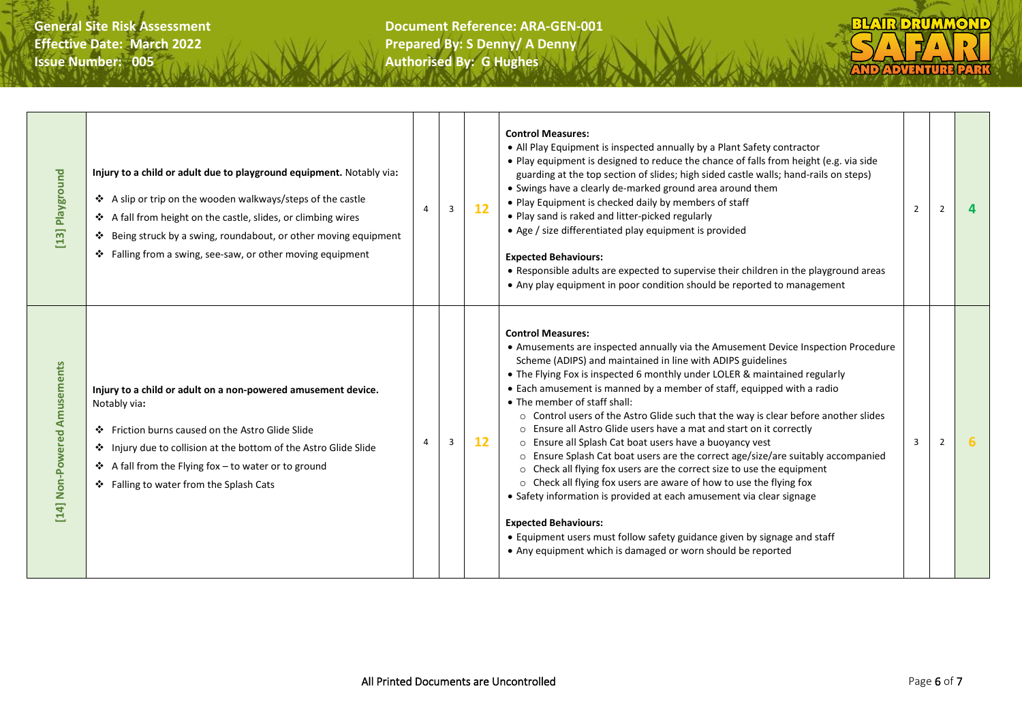

| Playground<br>$[13]$                       | Injury to a child or adult due to playground equipment. Notably via:<br>❖ A slip or trip on the wooden walkways/steps of the castle<br>❖ A fall from height on the castle, slides, or climbing wires<br>❖ Being struck by a swing, roundabout, or other moving equipment<br>$\div$ Falling from a swing, see-saw, or other moving equipment | 4 | $\overline{3}$ | 12 | <b>Control Measures:</b><br>• All Play Equipment is inspected annually by a Plant Safety contractor<br>. Play equipment is designed to reduce the chance of falls from height (e.g. via side<br>guarding at the top section of slides; high sided castle walls; hand-rails on steps)<br>• Swings have a clearly de-marked ground area around them<br>• Play Equipment is checked daily by members of staff<br>• Play sand is raked and litter-picked regularly<br>• Age / size differentiated play equipment is provided<br><b>Expected Behaviours:</b><br>• Responsible adults are expected to supervise their children in the playground areas<br>• Any play equipment in poor condition should be reported to management                                                                                                                                                                                                                                                                                                                                                          | 2 | 2 | 4 |
|--------------------------------------------|---------------------------------------------------------------------------------------------------------------------------------------------------------------------------------------------------------------------------------------------------------------------------------------------------------------------------------------------|---|----------------|----|--------------------------------------------------------------------------------------------------------------------------------------------------------------------------------------------------------------------------------------------------------------------------------------------------------------------------------------------------------------------------------------------------------------------------------------------------------------------------------------------------------------------------------------------------------------------------------------------------------------------------------------------------------------------------------------------------------------------------------------------------------------------------------------------------------------------------------------------------------------------------------------------------------------------------------------------------------------------------------------------------------------------------------------------------------------------------------------|---|---|---|
| Non-Powered Amusements<br>$\overline{[4]}$ | Injury to a child or adult on a non-powered amusement device.<br>Notably via:<br>Friction burns caused on the Astro Glide Slide<br>❖ Injury due to collision at the bottom of the Astro Glide Slide<br>❖ A fall from the Flying fox – to water or to ground<br>❖ Falling to water from the Splash Cats                                      | 4 | $\overline{3}$ | 12 | <b>Control Measures:</b><br>• Amusements are inspected annually via the Amusement Device Inspection Procedure<br>Scheme (ADIPS) and maintained in line with ADIPS guidelines<br>• The Flying Fox is inspected 6 monthly under LOLER & maintained regularly<br>• Each amusement is manned by a member of staff, equipped with a radio<br>• The member of staff shall:<br>○ Control users of the Astro Glide such that the way is clear before another slides<br>○ Ensure all Astro Glide users have a mat and start on it correctly<br>o Ensure all Splash Cat boat users have a buoyancy vest<br>o Ensure Splash Cat boat users are the correct age/size/are suitably accompanied<br>○ Check all flying fox users are the correct size to use the equipment<br>o Check all flying fox users are aware of how to use the flying fox<br>• Safety information is provided at each amusement via clear signage<br><b>Expected Behaviours:</b><br>• Equipment users must follow safety guidance given by signage and staff<br>• Any equipment which is damaged or worn should be reported | 3 | 2 |   |